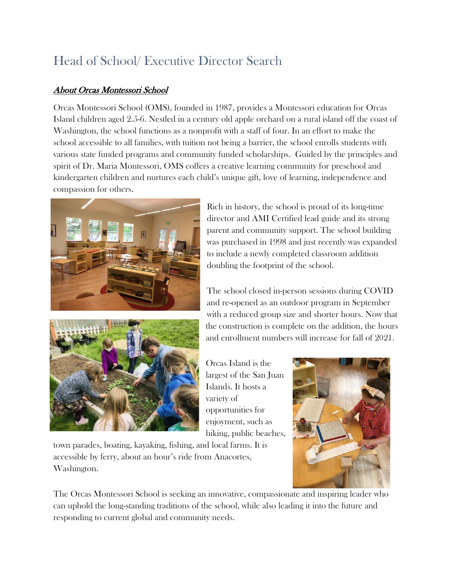## Head of School/ Executive Director Search

## About Orcas Montessori School

Orcas Montessori School (OMS), founded in 1987, provides a Montessori education for Orcas Island children aged 2.5-6. Nestled in a century old apple orchard on a rural island off the coast of Washington, the school functions as a nonprofit with a staff of four. In an effort to make the school accessible to all families, with tuition not being a barrier, the school enrolls students with various state funded programs and community funded scholarships. Guided by the principles and spirit of Dr. Maria Montessori, OMS coffers a creative learning community for preschool and kindergarten children and nurtures each child's unique gift, love of learning, independence and compassion for others.



Rich in history, the school is proud of its long-time director and AMI Certified lead guide and its strong parent and community support. The school building was purchased in 1998 and just recently was expanded to include a newly completed classroom addition doubling the footprint of the school.

The school closed in-person sessions during COVID and re-opened as an outdoor program in September with a reduced group size and shorter hours. Now that the construction is complete on the addition, the hours and enrollment numbers will increase for fall of 2021.

Orcas Island is the largest of the San Juan Islands. It hosts a variety of opportunities for enjoyment, such as hiking, public beaches,

town parades, boating, kayaking, fishing, and local farms. It is accessible by ferry, about an hour's ride from Anacortes, Washington.



The Orcas Montessori School is seeking an innovative, compassionate and inspiring leader who can uphold the long-standing traditions of the school, while also leading it into the future and responding to current global and community needs.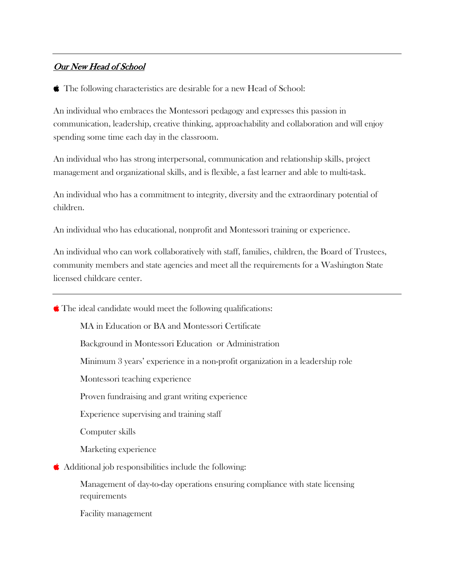## Our New Head of School

The following characteristics are desirable for a new Head of School:

An individual who embraces the Montessori pedagogy and expresses this passion in communication, leadership, creative thinking, approachability and collaboration and will enjoy spending some time each day in the classroom.

An individual who has strong interpersonal, communication and relationship skills, project management and organizational skills, and is flexible, a fast learner and able to multi-task.

An individual who has a commitment to integrity, diversity and the extraordinary potential of children.

An individual who has educational, nonprofit and Montessori training or experience.

An individual who can work collaboratively with staff, families, children, the Board of Trustees, community members and state agencies and meet all the requirements for a Washington State licensed childcare center.

 $\bullet$  The ideal candidate would meet the following qualifications:

MA in Education or BA and Montessori Certificate

Background in Montessori Education or Administration

Minimum 3 years' experience in a non-profit organization in a leadership role

Montessori teaching experience

Proven fundraising and grant writing experience

Experience supervising and training staff

Computer skills

Marketing experience

Additional job responsibilities include the following:

Management of day-to-day operations ensuring compliance with state licensing requirements

Facility management